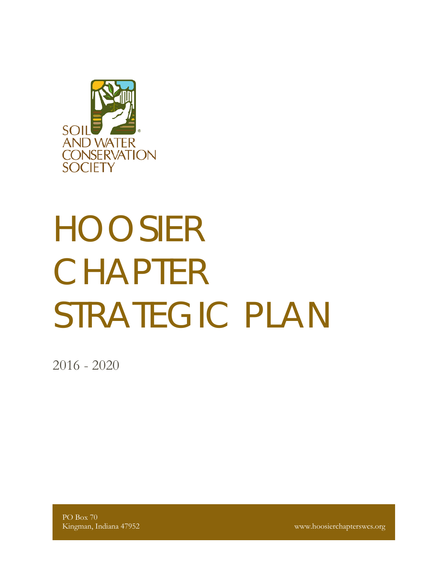

# HOOSIER CHAPTER STRATEGIC PLAN

2016 - 2020

PO Box 70

Kingman, Indiana 47952 www.hoosierchapterswcs.org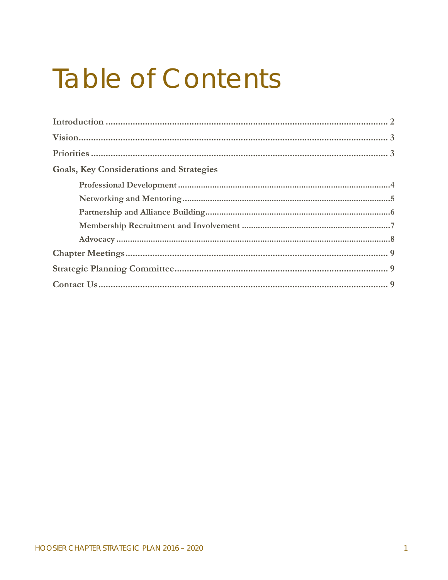## **Table of Contents**

| <b>Goals, Key Considerations and Strategies</b> |  |
|-------------------------------------------------|--|
|                                                 |  |
|                                                 |  |
|                                                 |  |
|                                                 |  |
|                                                 |  |
|                                                 |  |
|                                                 |  |
|                                                 |  |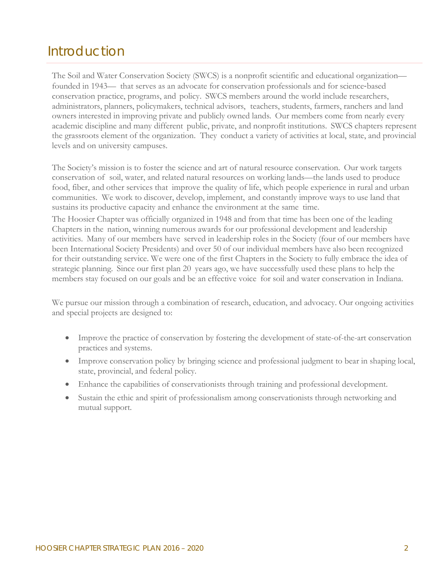## Introduction

The Soil and Water Conservation Society (SWCS) is a nonprofit scientific and educational organization founded in 1943— that serves as an advocate for conservation professionals and for science‐based conservation practice, programs, and policy. SWCS members around the world include researchers, administrators, planners, policymakers, technical advisors, teachers, students, farmers, ranchers and land owners interested in improving private and publicly owned lands. Our members come from nearly every academic discipline and many different public, private, and nonprofit institutions. SWCS chapters represent the grassroots element of the organization. They conduct a variety of activities at local, state, and provincial levels and on university campuses.

The Society's mission is to foster the science and art of natural resource conservation. Our work targets conservation of soil, water, and related natural resources on working lands—the lands used to produce food, fiber, and other services that improve the quality of life, which people experience in rural and urban communities. We work to discover, develop, implement, and constantly improve ways to use land that sustains its productive capacity and enhance the environment at the same time.

The Hoosier Chapter was officially organized in 1948 and from that time has been one of the leading Chapters in the nation, winning numerous awards for our professional development and leadership activities. Many of our members have served in leadership roles in the Society (four of our members have been International Society Presidents) and over 50 of our individual members have also been recognized for their outstanding service. We were one of the first Chapters in the Society to fully embrace the idea of strategic planning. Since our first plan 20 years ago, we have successfully used these plans to help the members stay focused on our goals and be an effective voice for soil and water conservation in Indiana.

We pursue our mission through a combination of research, education, and advocacy. Our ongoing activities and special projects are designed to:

- Improve the practice of conservation by fostering the development of state-of-the-art conservation practices and systems.
- Improve conservation policy by bringing science and professional judgment to bear in shaping local, state, provincial, and federal policy.
- Enhance the capabilities of conservationists through training and professional development.
- Sustain the ethic and spirit of professionalism among conservationists through networking and mutual support.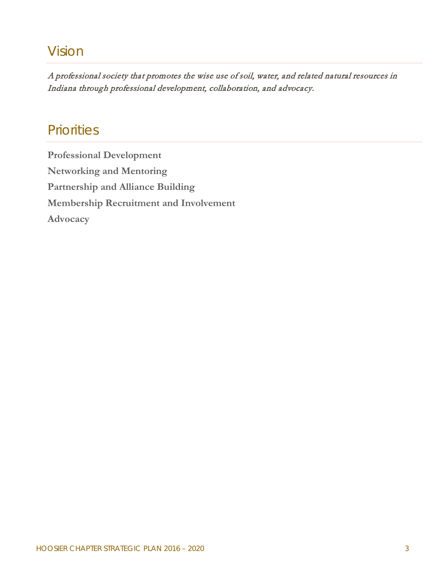## Vision

A professional society that promotes the wise use of soil, water, and related natural resources in Indiana through professional development, collaboration, and advocacy.

### **Priorities**

**Professional Development Networking and Mentoring Partnership and Alliance Building Membership Recruitment and Involvement Advocacy**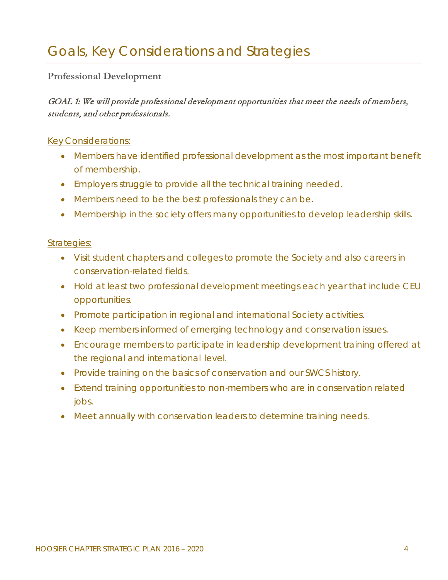#### **Professional Development**

#### GOAL 1: We will provide professional development opportunities that meet the needs of members, students, and other professionals.

#### *Key Considerations:*

- *Members have identified professional development as the most important benefit of membership.*
- *Employers struggle to provide all the technical training needed.*
- *Members need to be the best professionals they can be.*
- *Membership in the society offers many opportunities to develop leadership skills.*

- *Visit student chapters and colleges to promote the Society and also careers in conservation*‐*related fields.*
- *Hold at least two professional development meetings each year that include CEU opportunities.*
- *Promote participation in regional and international Society activities.*
- *Keep members informed of emerging technology and conservation issues.*
- *Encourage members to participate in leadership development training offered at the regional and international level.*
- *Provide training on the basics of conservation and our SWCS history.*
- *Extend training opportunities to non*‐*members who are in conservation related jobs.*
- *Meet annually with conservation leaders to determine training needs.*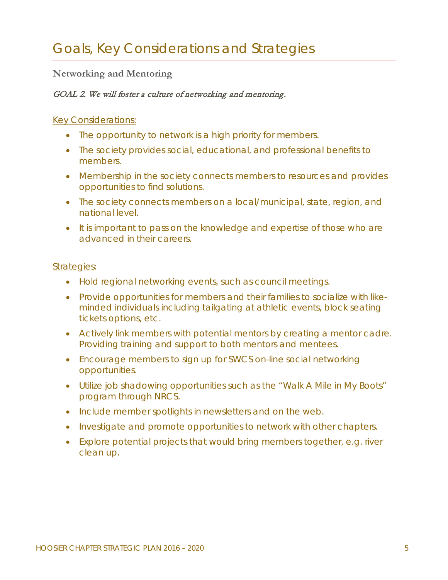#### **Networking and Mentoring**

#### GOAL 2. We will foster a culture of networking and mentoring.

#### *Key Considerations:*

- *The opportunity to network is a high priority for members.*
- *The society provides social, educational, and professional benefits to members.*
- *Membership in the society connects members to resources and provides opportunities to find solutions.*
- *The society connects members on a local/municipal, state, region, and national level.*
- *It is important to pass on the knowledge and expertise of those who are advanced in their careers.*

- *Hold regional networking events, such as council meetings.*
- *Provide opportunities for members and their families to socialize with likeminded individuals including tailgating at athletic events, block seating tickets options, etc.*
- *Actively link members with potential mentors by creating a mentor cadre. Providing training and support to both mentors and mentees.*
- *Encourage members to sign up for SWCS on*‐*line social networking opportunities.*
- *Utilize job shadowing opportunities such as the "Walk A Mile in My Boots" program through NRCS.*
- *Include member spotlights in newsletters and on the web.*
- *Investigate and promote opportunities to network with other chapters.*
- Explore potential projects that would bring members together, e.g. river *clean up.*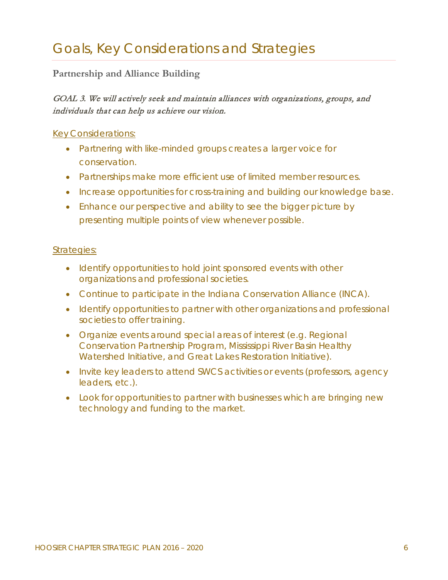#### **Partnership and Alliance Building**

#### GOAL 3. We will actively seek and maintain alliances with organizations, groups, and individuals that can help us achieve our vision.

#### *Key Considerations:*

- *Partnering with like-minded groups creates a larger voice for conservation.*
- *Partnerships make more efficient use of limited member resources.*
- *Increase opportunities for cross*‐*training and building our knowledge base.*
- *Enhance our perspective and ability to see the bigger picture by presenting multiple points of view whenever possible.*

- *Identify opportunities to hold joint sponsored events with other organizations and professional societies.*
- *Continue to participate in the Indiana Conservation Alliance (INCA).*
- Identify opportunities to partner with other organizations and professional *societies to offer training.*
- *Organize events around special areas of interest (e.g. Regional Conservation Partnership Program, Mississippi River Basin Healthy Watershed Initiative, and Great Lakes Restoration Initiative).*
- *Invite key leaders to attend SWCS activities or events (professors, agency leaders, etc.).*
- *Look for opportunities to partner with businesses which are bringing new technology and funding to the market.*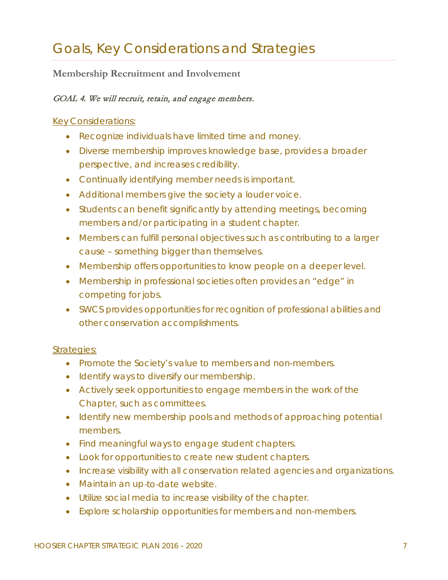#### **Membership Recruitment and Involvement**

#### GOAL 4. We will recruit, retain, and engage members.

#### *Key Considerations:*

- *Recognize individuals have limited time and money.*
- *Diverse membership improves knowledge base, provides a broader perspective, and increases credibility.*
- *Continually identifying member needs is important.*
- *Additional members give the society a louder voice.*
- *Students can benefit significantly by attending meetings, becoming members and/or participating in a student chapter.*
- Members can fulfill personal objectives such as contributing to a larger *cause – something bigger than themselves.*
- *Membership offers opportunities to know people on a deeper level.*
- *Membership in professional societies often provides an "edge" in competing for jobs.*
- *SWCS provides opportunities for recognition of professional abilities and other conservation accomplishments.*

- *Promote the Society's value to members and non-members.*
- *Identify ways to diversify our membership.*
- Actively seek opportunities to engage members in the work of the *Chapter, such as committees.*
- *Identify new membership pools and methods of approaching potential members.*
- *Find meaningful ways to engage student chapters.*
- *Look for opportunities to create new student chapters.*
- *Increase visibility with all conservation related agencies and organizations.*
- *Maintain an up*‐*to*‐*date website.*
- *Utilize social media to increase visibility of the chapter.*
- *Explore scholarship opportunities for members and non-members.*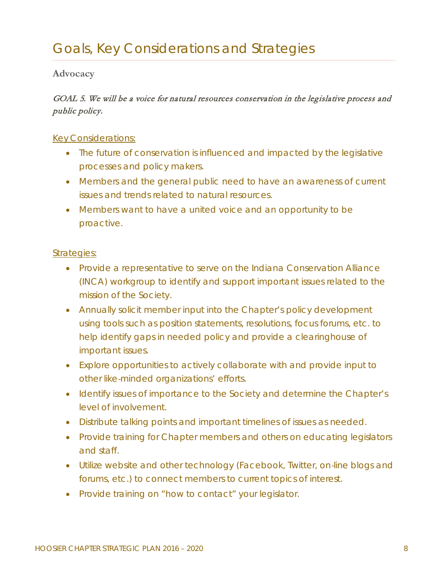#### **Advocacy**

#### GOAL 5. We will be a voice for natural resources conservation in the legislative process and public policy.

#### *Key Considerations:*

- *The future of conservation is influenced and impacted by the legislative processes and policy makers.*
- Members and the general public need to have an awareness of current *issues and trends related to natural resources.*
- *Members want to have a united voice and an opportunity to be proactive.*

- *Provide a representative to serve on the Indiana Conservation Alliance (INCA) workgroup to identify and support important issues related to the mission of the Society.*
- *Annually solicit member input into the Chapter's policy development using tools such as position statements, resolutions, focus forums, etc. to help identify gaps in needed policy and provide a clearinghouse of important issues.*
- *Explore opportunities to actively collaborate with and provide input to other like*‐*minded organizations' efforts.*
- *Identify issues of importance to the Society and determine the Chapter's level of involvement.*
- *Distribute talking points and important timelines of issues as needed.*
- *Provide training for Chapter members and others on educating legislators and staff.*
- Utilize website and other technology (Facebook, Twitter, on-line blogs and *forums, etc.) to connect members to current topics of interest.*
- *Provide training on "how to contact" your legislator.*